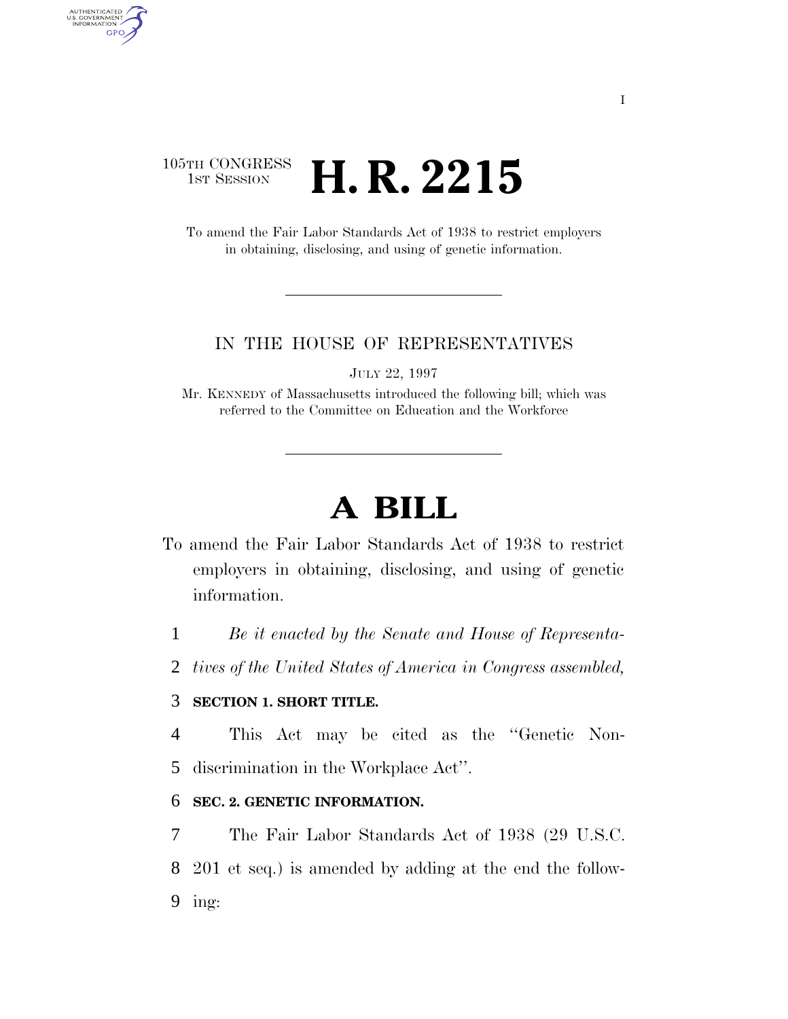# 105TH CONGRESS <sup>TH CONGRESS</sup> **H. R. 2215**

AUTHENTICATED<br>U.S. GOVERNMENT<br>INFORMATION **GPO** 

> To amend the Fair Labor Standards Act of 1938 to restrict employers in obtaining, disclosing, and using of genetic information.

#### IN THE HOUSE OF REPRESENTATIVES

JULY 22, 1997

Mr. KENNEDY of Massachusetts introduced the following bill; which was referred to the Committee on Education and the Workforce

# **A BILL**

- To amend the Fair Labor Standards Act of 1938 to restrict employers in obtaining, disclosing, and using of genetic information.
	- 1 *Be it enacted by the Senate and House of Representa-*
	- 2 *tives of the United States of America in Congress assembled,*

## 3 **SECTION 1. SHORT TITLE.**

4 This Act may be cited as the ''Genetic Non-5 discrimination in the Workplace Act''.

### 6 **SEC. 2. GENETIC INFORMATION.**

7 The Fair Labor Standards Act of 1938 (29 U.S.C. 8 201 et seq.) is amended by adding at the end the follow-9 ing: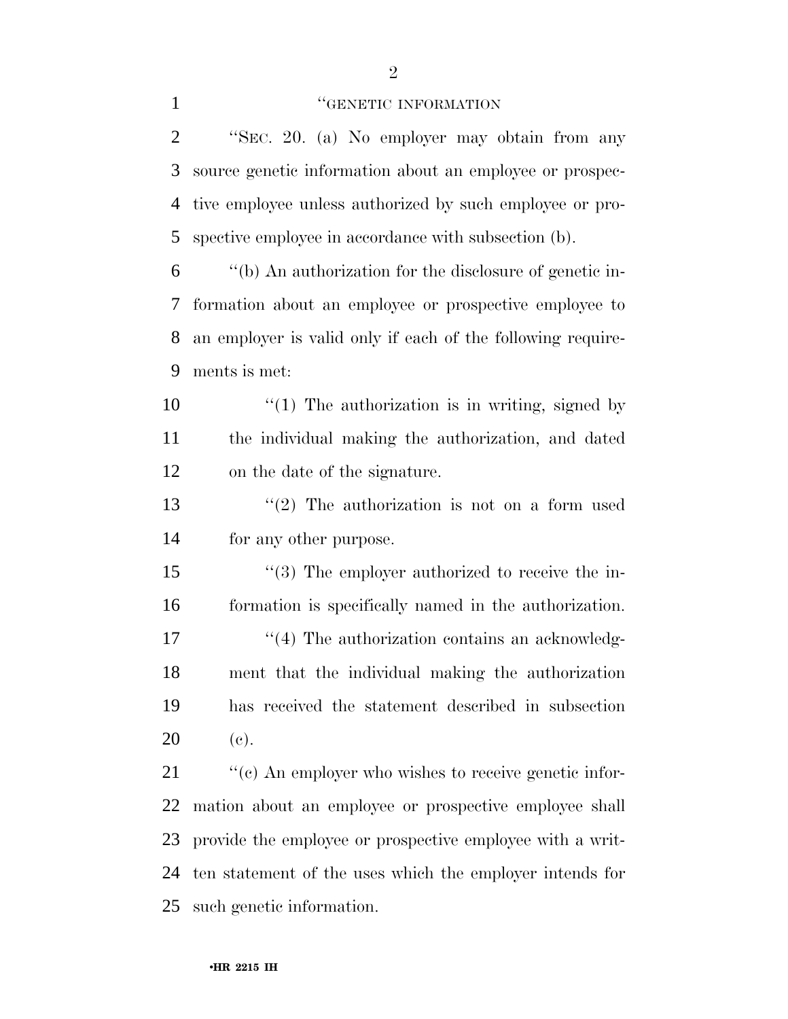#### **''GENETIC INFORMATION**

 ''SEC. 20. (a) No employer may obtain from any source genetic information about an employee or prospec- tive employee unless authorized by such employee or pro-spective employee in accordance with subsection (b).

 ''(b) An authorization for the disclosure of genetic in- formation about an employee or prospective employee to an employer is valid only if each of the following require-ments is met:

10  $\frac{1}{2}$  (1) The authorization is in writing, signed by the individual making the authorization, and dated on the date of the signature.

 ''(2) The authorization is not on a form used for any other purpose.

 $\frac{1}{3}$  The employer authorized to receive the in- formation is specifically named in the authorization. 17 ''(4) The authorization contains an acknowledg- ment that the individual making the authorization has received the statement described in subsection (c).

 $\cdot$  "(c) An employer who wishes to receive genetic infor- mation about an employee or prospective employee shall provide the employee or prospective employee with a writ- ten statement of the uses which the employer intends for such genetic information.